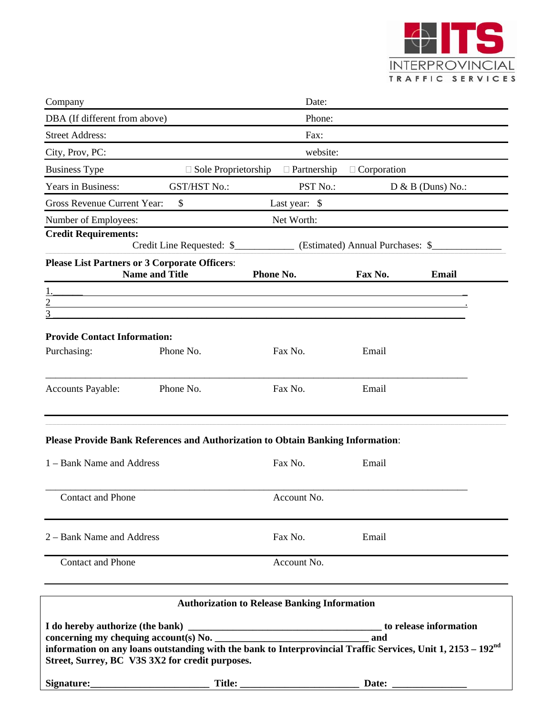

| Company                                                                                                                                                                     |                                                                                            | Date:                                               |                    |                     |
|-----------------------------------------------------------------------------------------------------------------------------------------------------------------------------|--------------------------------------------------------------------------------------------|-----------------------------------------------------|--------------------|---------------------|
| DBA (If different from above)                                                                                                                                               |                                                                                            | Phone:                                              |                    |                     |
| <b>Street Address:</b>                                                                                                                                                      |                                                                                            | Fax:                                                |                    |                     |
| City, Prov, PC:                                                                                                                                                             |                                                                                            | website:                                            |                    |                     |
| <b>Business Type</b>                                                                                                                                                        | $\Box$ Sole Proprietorship                                                                 | $\Box$ Partnership                                  | $\Box$ Corporation |                     |
| Years in Business:                                                                                                                                                          | <b>GST/HST No.:</b>                                                                        | PST No.:                                            |                    | $D & B$ (Duns) No.: |
| Gross Revenue Current Year:                                                                                                                                                 | \$                                                                                         | Last year: \$                                       |                    |                     |
| Number of Employees:                                                                                                                                                        |                                                                                            | Net Worth:                                          |                    |                     |
| <b>Credit Requirements:</b>                                                                                                                                                 | Credit Line Requested: \$_________________ (Estimated) Annual Purchases: \$_______________ |                                                     |                    |                     |
| <b>Please List Partners or 3 Corporate Officers:</b>                                                                                                                        | <b>Name and Title</b>                                                                      | Phone No.                                           | Fax No.            | <b>Email</b>        |
| $\overline{2}$<br>and the control of the control of the control of the control of the control of the control of the control of the<br>3                                     |                                                                                            |                                                     |                    |                     |
| <b>Provide Contact Information:</b><br>Purchasing:                                                                                                                          | Phone No.                                                                                  | Fax No.                                             | Email              |                     |
| <b>Accounts Payable:</b>                                                                                                                                                    | Phone No.                                                                                  | Fax No.                                             | Email              |                     |
| <b>Please Provide Bank References and Authorization to Obtain Banking Information:</b>                                                                                      |                                                                                            |                                                     |                    |                     |
| 1 – Bank Name and Address                                                                                                                                                   |                                                                                            | Fax No.                                             | Email              |                     |
| Contact and Phone                                                                                                                                                           |                                                                                            | Account No.                                         |                    |                     |
| 2 – Bank Name and Address                                                                                                                                                   |                                                                                            | Fax No.                                             | Email              |                     |
| <b>Contact and Phone</b>                                                                                                                                                    |                                                                                            | Account No.                                         |                    |                     |
|                                                                                                                                                                             |                                                                                            | <b>Authorization to Release Banking Information</b> |                    |                     |
| information on any loans outstanding with the bank to Interprovincial Traffic Services, Unit 1, 2153 – 192 <sup>nd</sup><br>Street, Surrey, BC V3S 3X2 for credit purposes. |                                                                                            |                                                     |                    |                     |
|                                                                                                                                                                             |                                                                                            |                                                     |                    |                     |